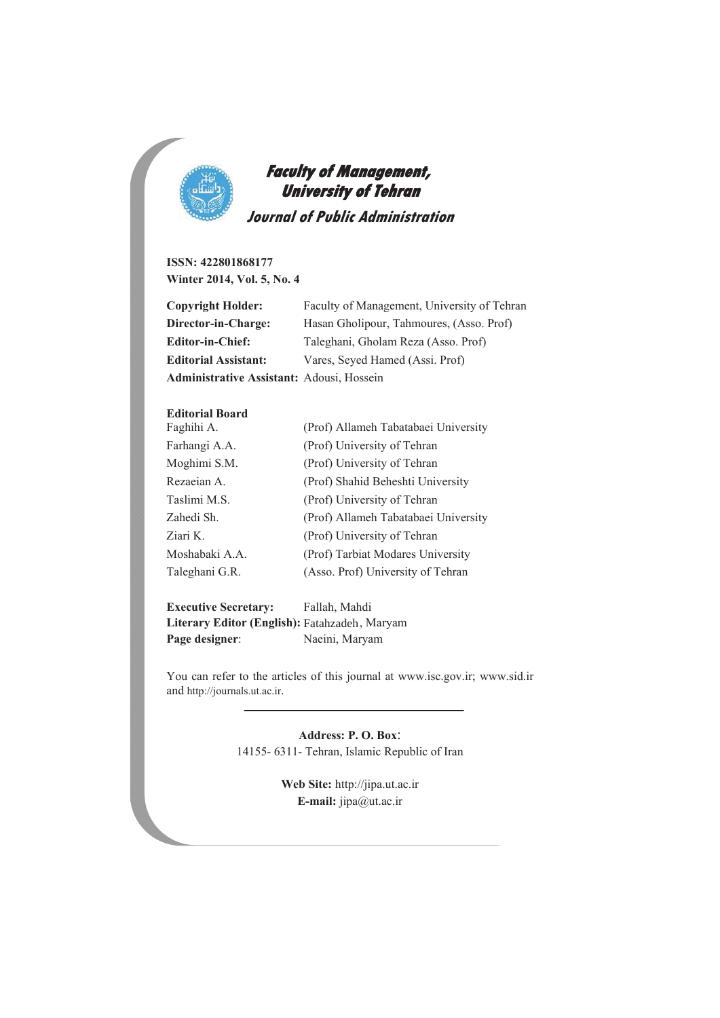

 **Faculty of Management, University of Tehran Journal of Public Administration** 

**ISSN: 422801868177 Winter 2014, Vol. 5, No. 4** 

| Copyright Holder:                         | Faculty of Management, University of Tehran |
|-------------------------------------------|---------------------------------------------|
| Director-in-Charge:                       | Hasan Gholipour, Tahmoures, (Asso. Prof)    |
| <b>Editor-in-Chief:</b>                   | Taleghani, Gholam Reza (Asso. Prof)         |
| <b>Editorial Assistant:</b>               | Vares, Seyed Hamed (Assi. Prof)             |
| Administrative Assistant: Adousi, Hossein |                                             |

#### **Editorial Board**

l,

| Faghihi A.     | (Prof) Allameh Tabatabaei University |  |
|----------------|--------------------------------------|--|
| Farhangi A.A.  | (Prof) University of Tehran          |  |
| Moghimi S.M.   | (Prof) University of Tehran          |  |
| Rezaeian A.    | (Prof) Shahid Beheshti University    |  |
| Taslimi M.S.   | (Prof) University of Tehran          |  |
| Zahedi Sh.     | (Prof) Allameh Tabatabaei University |  |
| Ziari K.       | (Prof) University of Tehran          |  |
| Moshabaki A.A. | (Prof) Tarbiat Modares University    |  |
| Taleghani G.R. | (Asso. Prof) University of Tehran    |  |

**Executive Secretary:** Fallah, Mahdi Literary Editor (English): Fatahzadeh, Maryam Page designer: Naeini, Maryam

You can refer to the articles of this journal at www.isc.gov.ir; www.sid.ir and http://journals.ut.ac.ir.

> **Address: P. O. Box**: 14155- 6311- Tehran, Islamic Republic of Iran

> > **Web Site:** http://jipa.ut.ac.ir **E-mail:** jipa@ut.ac.ir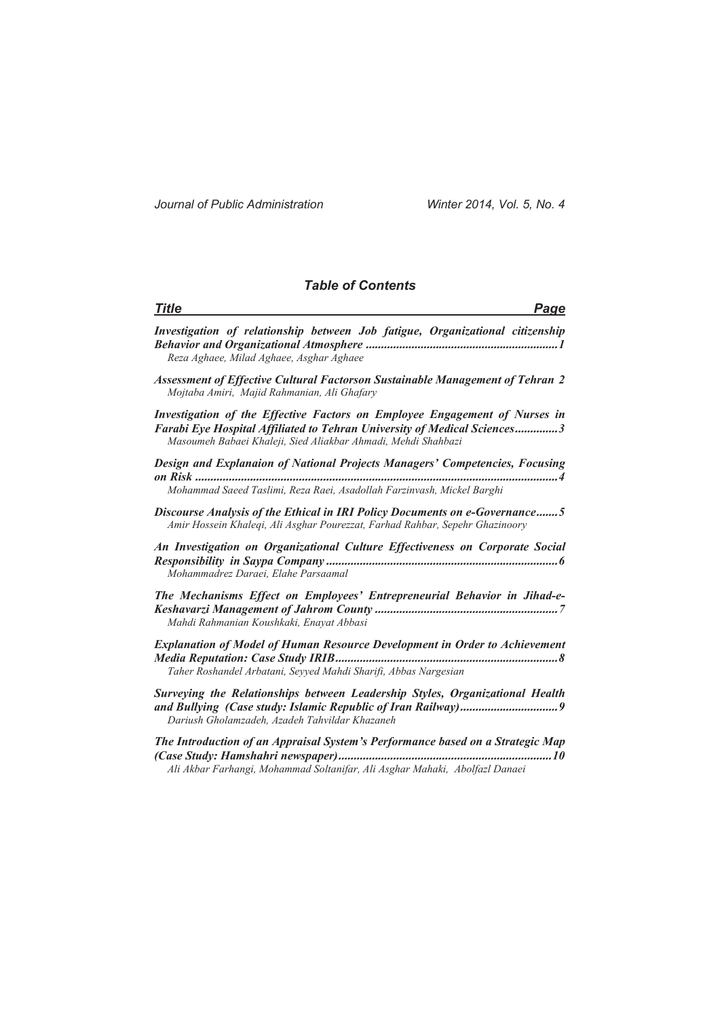*Journal of Public Administration Winter 2014, Vol. 5, No. 4* 

### *Table of Contents*

| <b>Title</b><br>Page                                                                                                                                                                                                    |
|-------------------------------------------------------------------------------------------------------------------------------------------------------------------------------------------------------------------------|
| Investigation of relationship between Job fatigue, Organizational citizenship<br>Reza Aghaee, Milad Aghaee, Asghar Aghaee                                                                                               |
| <b>Assessment of Effective Cultural Factorson Sustainable Management of Tehran 2</b><br>Mojtaba Amiri, Majid Rahmanian, Ali Ghafary                                                                                     |
| Investigation of the Effective Factors on Employee Engagement of Nurses in<br>Farabi Eye Hospital Affiliated to Tehran University of Medical Sciences3<br>Masoumeh Babaei Khaleji, Sied Aliakbar Ahmadi, Mehdi Shahbazi |
| Design and Explanaion of National Projects Managers' Competencies, Focusing<br>Mohammad Saeed Taslimi, Reza Raei, Asadollah Farzinvash, Mickel Barghi                                                                   |
| Discourse Analysis of the Ethical in IRI Policy Documents on e-Governance5<br>Amir Hossein Khaleqi, Ali Asghar Pourezzat, Farhad Rahbar, Sepehr Ghazinoory                                                              |
| An Investigation on Organizational Culture Effectiveness on Corporate Social<br>Mohammadrez Daraei, Elahe Parsaamal                                                                                                     |
| The Mechanisms Effect on Employees' Entrepreneurial Behavior in Jihad-e-<br>Mahdi Rahmanian Koushkaki, Enayat Abbasi                                                                                                    |
| <b>Explanation of Model of Human Resource Development in Order to Achievement</b><br>Taher Roshandel Arbatani, Seyyed Mahdi Sharifi, Abbas Nargesian                                                                    |
| Surveying the Relationships between Leadership Styles, Organizational Health<br>Dariush Gholamzadeh, Azadeh Tahvildar Khazaneh                                                                                          |
| The Introduction of an Appraisal System's Performance based on a Strategic Map<br>Ali Akbar Farhangi, Mohammad Soltanifar, Ali Asghar Mahaki, Abolfazl Danaei                                                           |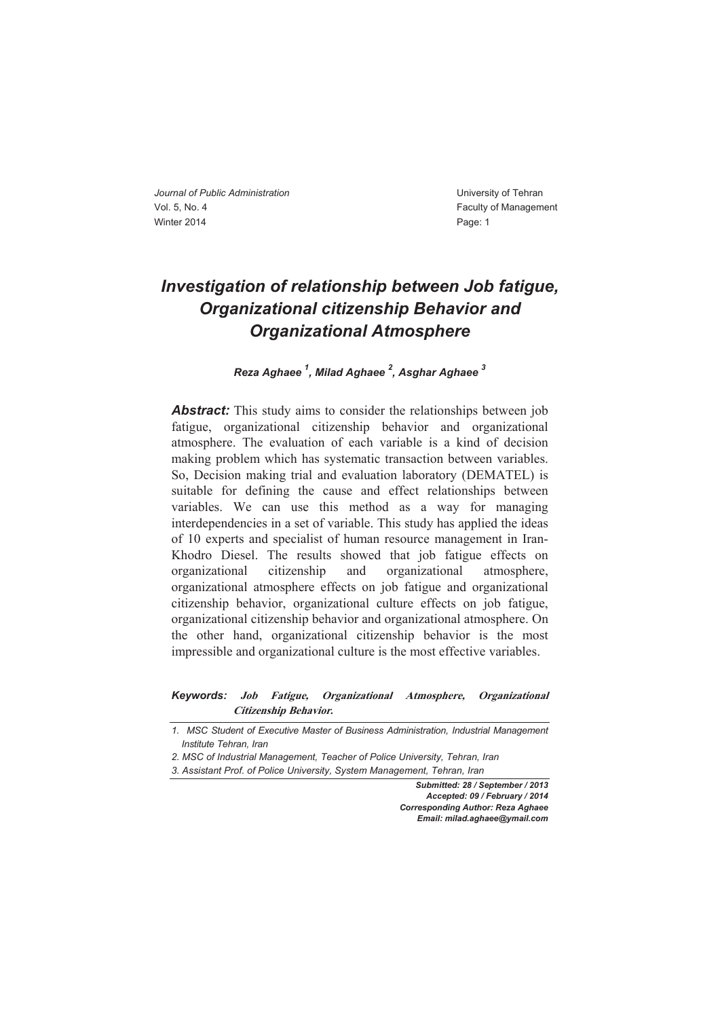### *Investigation of relationship between Job fatigue, Organizational citizenship Behavior and Organizational Atmosphere*

*Reza Aghaee 1 , Milad Aghaee 2 , Asghar Aghaee <sup>3</sup>*

**Abstract:** This study aims to consider the relationships between job fatigue, organizational citizenship behavior and organizational atmosphere. The evaluation of each variable is a kind of decision making problem which has systematic transaction between variables. So, Decision making trial and evaluation laboratory (DEMATEL) is suitable for defining the cause and effect relationships between variables. We can use this method as a way for managing interdependencies in a set of variable. This study has applied the ideas of 10 experts and specialist of human resource management in Iran-Khodro Diesel. The results showed that job fatigue effects on organizational citizenship and organizational atmosphere, organizational atmosphere effects on job fatigue and organizational citizenship behavior, organizational culture effects on job fatigue, organizational citizenship behavior and organizational atmosphere. On the other hand, organizational citizenship behavior is the most impressible and organizational culture is the most effective variables.

*Keywords:* **Job Fatigue, Organizational Atmosphere, Organizational Citizenship Behavior***.* 

*1. MSC Student of Executive Master of Business Administration, Industrial Management Institute Tehran, Iran* 

*2. MSC of Industrial Management, Teacher of Police University, Tehran, Iran* 

*3. Assistant Prof. of Police University, System Management, Tehran, Iran* 

*Submitted: 28 / September / 2013 Accepted: 09 / February / 2014 Corresponding Author: Reza Aghaee Email: milad.aghaee@ymail.com*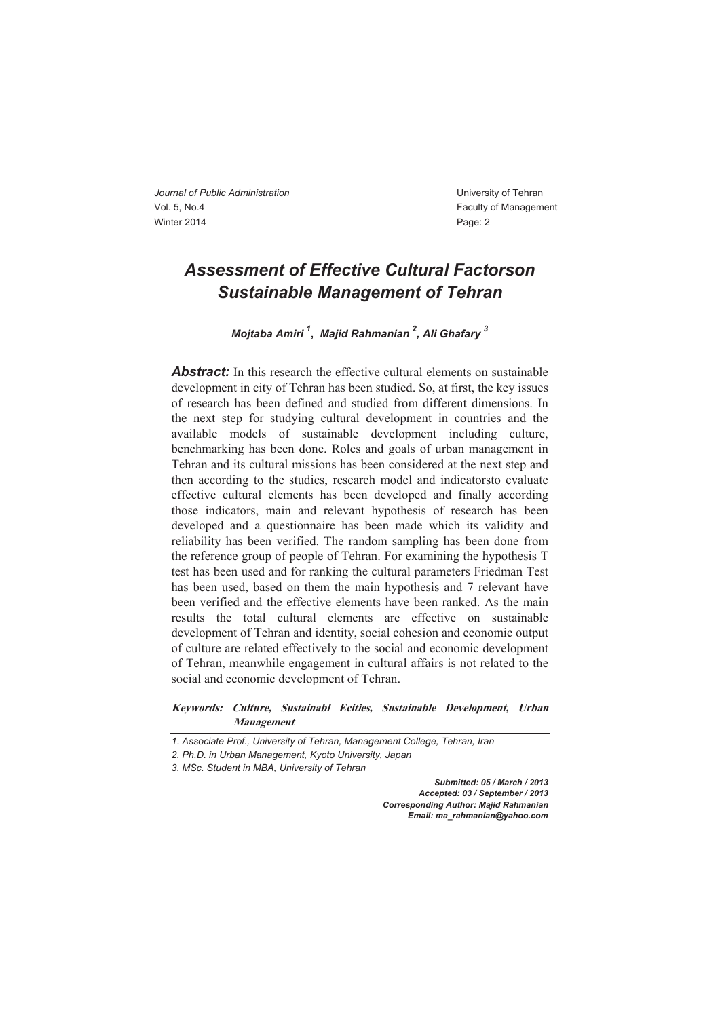### *Assessment of Effective Cultural Factorson Sustainable Management of Tehran*

*Mojtaba Amiri <sup>1</sup>* **,** *Majid Rahmanian 2 , Ali Ghafary 3* 

*Abstract:* In this research the effective cultural elements on sustainable development in city of Tehran has been studied. So, at first, the key issues of research has been defined and studied from different dimensions. In the next step for studying cultural development in countries and the available models of sustainable development including culture, benchmarking has been done. Roles and goals of urban management in Tehran and its cultural missions has been considered at the next step and then according to the studies, research model and indicatorsto evaluate effective cultural elements has been developed and finally according those indicators, main and relevant hypothesis of research has been developed and a questionnaire has been made which its validity and reliability has been verified. The random sampling has been done from the reference group of people of Tehran. For examining the hypothesis T test has been used and for ranking the cultural parameters Friedman Test has been used, based on them the main hypothesis and 7 relevant have been verified and the effective elements have been ranked. As the main results the total cultural elements are effective on sustainable development of Tehran and identity, social cohesion and economic output of culture are related effectively to the social and economic development of Tehran, meanwhile engagement in cultural affairs is not related to the social and economic development of Tehran.

**Keywords: Culture, Sustainabl Ecities, Sustainable Development, Urban Management** 

*Submitted: 05 / March / 2013 Accepted: 03 / September / 2013 Corresponding Author: Majid Rahmanian Email: ma\_rahmanian@yahoo.com*

*<sup>1</sup>*. *Associate Prof., University of Tehran, Management College, Tehran, Iran* 

*<sup>2.</sup> Ph.D. in Urban Management, Kyoto University, Japan* 

*<sup>3.</sup> MSc. Student in MBA, University of Tehran*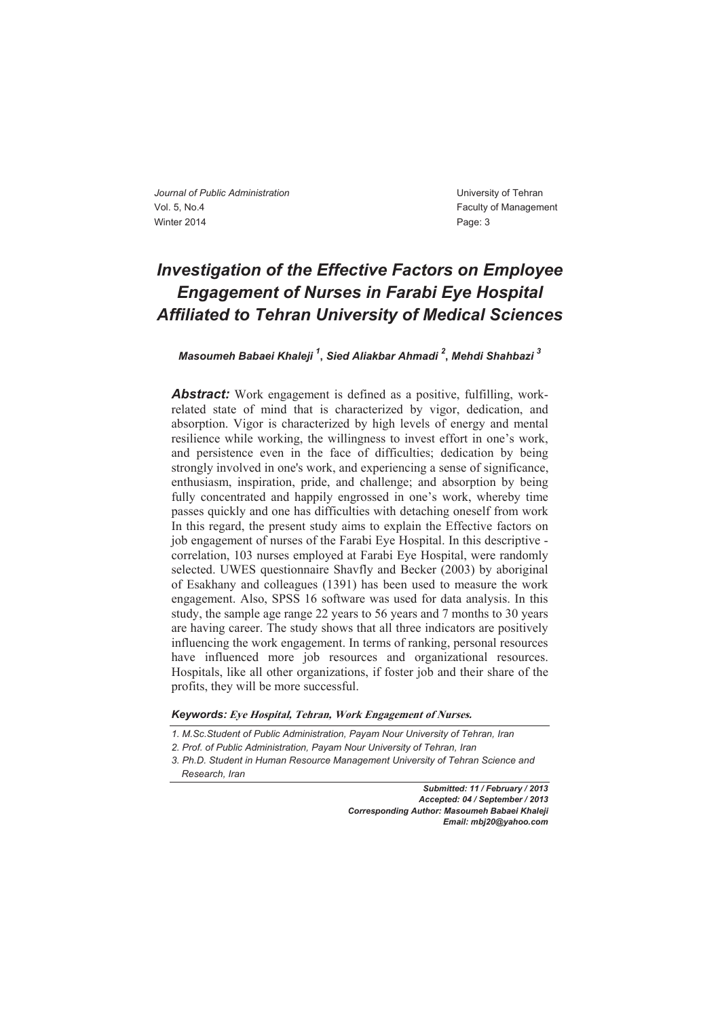### *Investigation of the Effective Factors on Employee Engagement of Nurses in Farabi Eye Hospital Affiliated to Tehran University of Medical Sciences*

### *Masoumeh Babaei Khaleji 1* **,** *Sied Aliakbar Ahmadi <sup>2</sup>* **,** *Mehdi Shahbazi 3*

**Abstract:** Work engagement is defined as a positive, fulfilling, workrelated state of mind that is characterized by vigor, dedication, and absorption. Vigor is characterized by high levels of energy and mental resilience while working, the willingness to invest effort in one's work, and persistence even in the face of difficulties; dedication by being strongly involved in one's work, and experiencing a sense of significance, enthusiasm, inspiration, pride, and challenge; and absorption by being fully concentrated and happily engrossed in one's work, whereby time passes quickly and one has difficulties with detaching oneself from work In this regard, the present study aims to explain the Effective factors on job engagement of nurses of the Farabi Eye Hospital. In this descriptive correlation, 103 nurses employed at Farabi Eye Hospital, were randomly selected. UWES questionnaire Shavfly and Becker (2003) by aboriginal of Esakhany and colleagues (1391) has been used to measure the work engagement. Also, SPSS 16 software was used for data analysis. In this study, the sample age range 22 years to 56 years and 7 months to 30 years are having career. The study shows that all three indicators are positively influencing the work engagement. In terms of ranking, personal resources have influenced more job resources and organizational resources. Hospitals, like all other organizations, if foster job and their share of the profits, they will be more successful.

*Keywords:* **Eye Hospital, Tehran, Work Engagement of Nurses.** 

*Submitted: 11 / February / 2013 Accepted: 04 / September / 2013 Corresponding Author: Masoumeh Babaei Khaleji Email: mbj20@yahoo.com*

*<sup>1.</sup> M.Sc.Student of Public Administration, Payam Nour University of Tehran, Iran* 

*<sup>2.</sup> Prof. of Public Administration, Payam Nour University of Tehran, Iran* 

*<sup>3.</sup> Ph.D. Student in Human Resource Management University of Tehran Science and* 

*Research, Iran*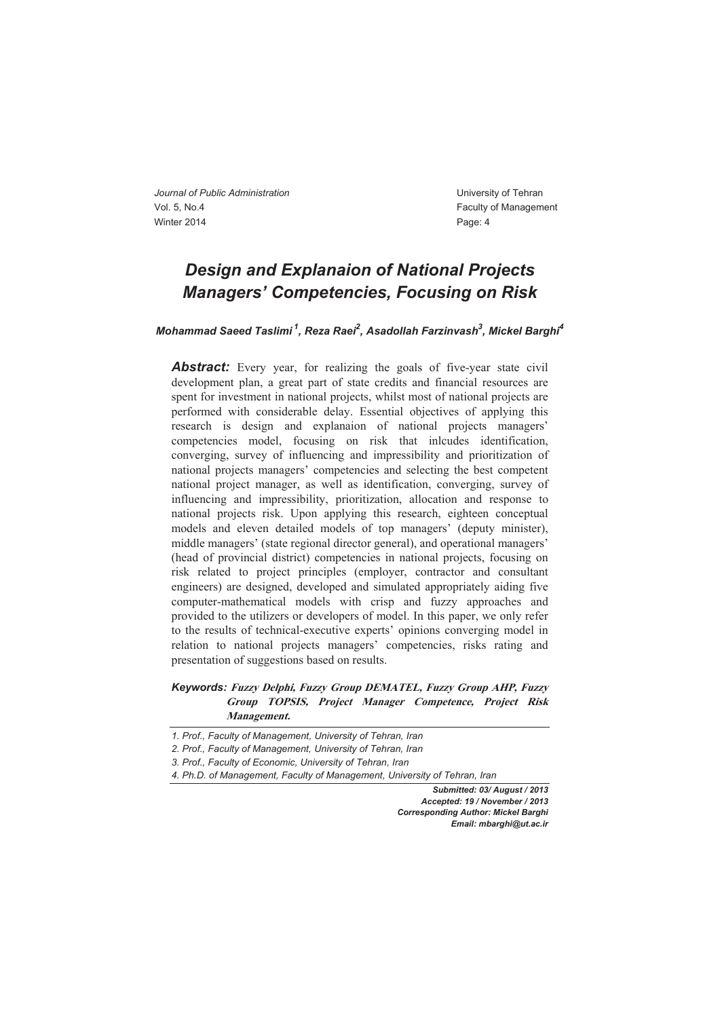### *Design and Explanaion of National Projects Managers' Competencies, Focusing on Risk*

 $M$ ohammad Saeed Taslimi  $^1$ , Reza Raei $^2$ , Asadollah Farzinvash $^3$ , Mickel Barghi $^4$ 

**Abstract:** Every year, for realizing the goals of five-year state civil development plan, a great part of state credits and financial resources are spent for investment in national projects, whilst most of national projects are performed with considerable delay. Essential objectives of applying this research is design and explanaion of national projects managers' competencies model, focusing on risk that inlcudes identification, converging, survey of influencing and impressibility and prioritization of national projects managers' competencies and selecting the best competent national project manager, as well as identification, converging, survey of influencing and impressibility, prioritization, allocation and response to national projects risk. Upon applying this research, eighteen conceptual models and eleven detailed models of top managers' (deputy minister), middle managers' (state regional director general), and operational managers' (head of provincial district) competencies in national projects, focusing on risk related to project principles (employer, contractor and consultant engineers) are designed, developed and simulated appropriately aiding five computer-mathematical models with crisp and fuzzy approaches and provided to the utilizers or developers of model. In this paper, we only refer to the results of technical-executive experts' opinions converging model in relation to national projects managers' competencies, risks rating and presentation of suggestions based on results.

#### *Keywords:* **Fuzzy Delphi, Fuzzy Group DEMATEL, Fuzzy Group AHP, Fuzzy Group TOPSIS, Project Manager Competence, Project Risk Management.**

*Submitted: 03/ August / 2013 Accepted: 19 / November / 2013 Corresponding Author: Mickel Barghi Email: mbarghi@ut.ac.ir* 

*<sup>1.</sup> Prof., Faculty of Management, University of Tehran, Iran* 

*<sup>2.</sup> Prof., Faculty of Management, University of Tehran, Iran* 

*<sup>3.</sup> Prof., Faculty of Economic, University of Tehran, Iran* 

*<sup>4.</sup> Ph.D. of Management, Faculty of Management, University of Tehran, Iran*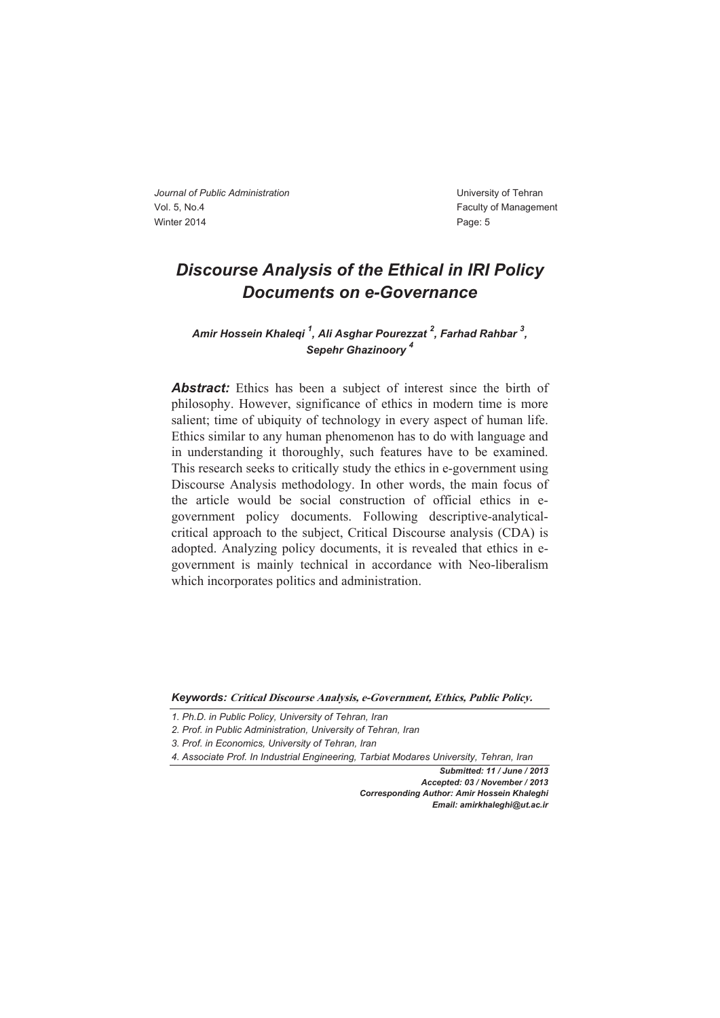### *Discourse Analysis of the Ethical in IRI Policy Documents on e-Governance*

*Amir Hossein Khaleqi 1 , Ali Asghar Pourezzat <sup>2</sup> , Farhad Rahbar <sup>3</sup> , Sepehr Ghazinoory 4* 

**Abstract:** Ethics has been a subject of interest since the birth of philosophy. However, significance of ethics in modern time is more salient; time of ubiquity of technology in every aspect of human life. Ethics similar to any human phenomenon has to do with language and in understanding it thoroughly, such features have to be examined. This research seeks to critically study the ethics in e-government using Discourse Analysis methodology. In other words, the main focus of the article would be social construction of official ethics in egovernment policy documents. Following descriptive-analyticalcritical approach to the subject, Critical Discourse analysis (CDA) is adopted. Analyzing policy documents, it is revealed that ethics in egovernment is mainly technical in accordance with Neo-liberalism which incorporates politics and administration.

*Keywords:* **Critical Discourse Analysis, e-Government, Ethics, Public Policy.** 

*Submitted: 11 / June / 2013 Accepted: 03 / November / 2013 Corresponding Author: Amir Hossein Khaleghi Email: amirkhaleghi@ut.ac.ir*

*<sup>1.</sup> Ph.D. in Public Policy, University of Tehran, Iran* 

*<sup>2.</sup> Prof. in Public Administration, University of Tehran, Iran* 

*<sup>3.</sup> Prof. in Economics, University of Tehran, Iran* 

*<sup>4.</sup> Associate Prof. In Industrial Engineering, Tarbiat Modares University, Tehran, Iran*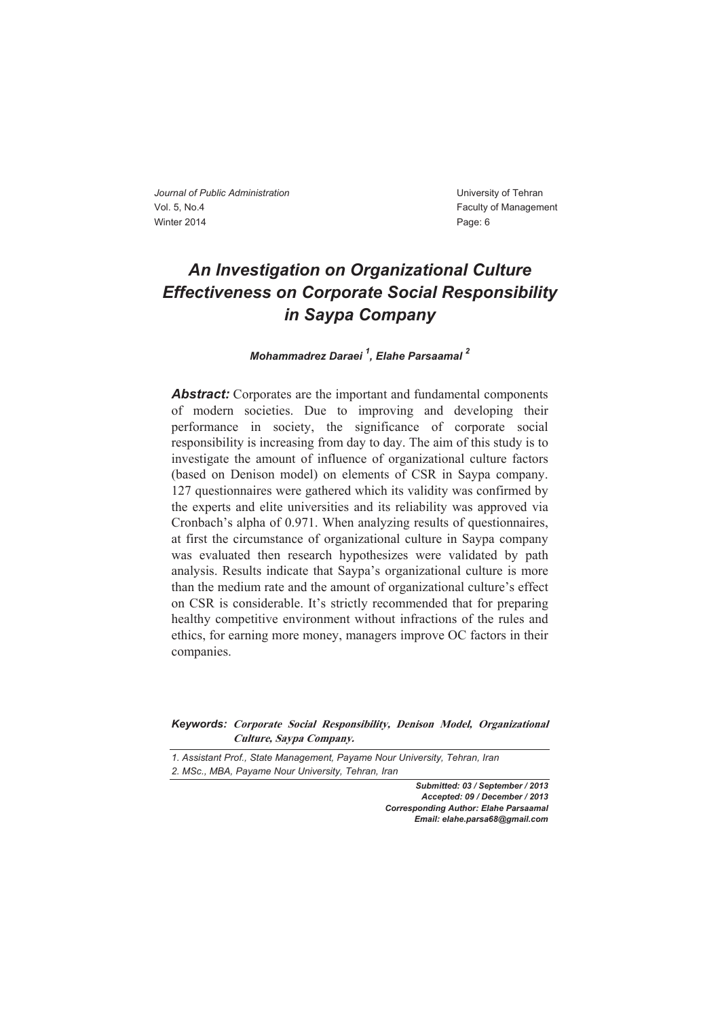# *An Investigation on Organizational Culture Effectiveness on Corporate Social Responsibility in Saypa Company*

#### *Mohammadrez Daraei <sup>1</sup> , Elahe Parsaamal <sup>2</sup>*

*Abstract:* Corporates are the important and fundamental components of modern societies. Due to improving and developing their performance in society, the significance of corporate social responsibility is increasing from day to day. The aim of this study is to investigate the amount of influence of organizational culture factors (based on Denison model) on elements of CSR in Saypa company. 127 questionnaires were gathered which its validity was confirmed by the experts and elite universities and its reliability was approved via Cronbach's alpha of 0.971. When analyzing results of questionnaires, at first the circumstance of organizational culture in Saypa company was evaluated then research hypothesizes were validated by path analysis. Results indicate that Saypa's organizational culture is more than the medium rate and the amount of organizational culture's effect on CSR is considerable. It's strictly recommended that for preparing healthy competitive environment without infractions of the rules and ethics, for earning more money, managers improve OC factors in their companies.

#### *Keywords:* **Corporate Social Responsibility, Denison Model, Organizational Culture, Saypa Company.**

*1. Assistant Prof., State Management, Payame Nour University, Tehran, Iran 2. MSc., MBA, Payame Nour University, Tehran, Iran* 

> *Submitted: 03 / September / 2013 Accepted: 09 / December / 2013 Corresponding Author: Elahe Parsaamal Email: elahe.parsa68@gmail.com*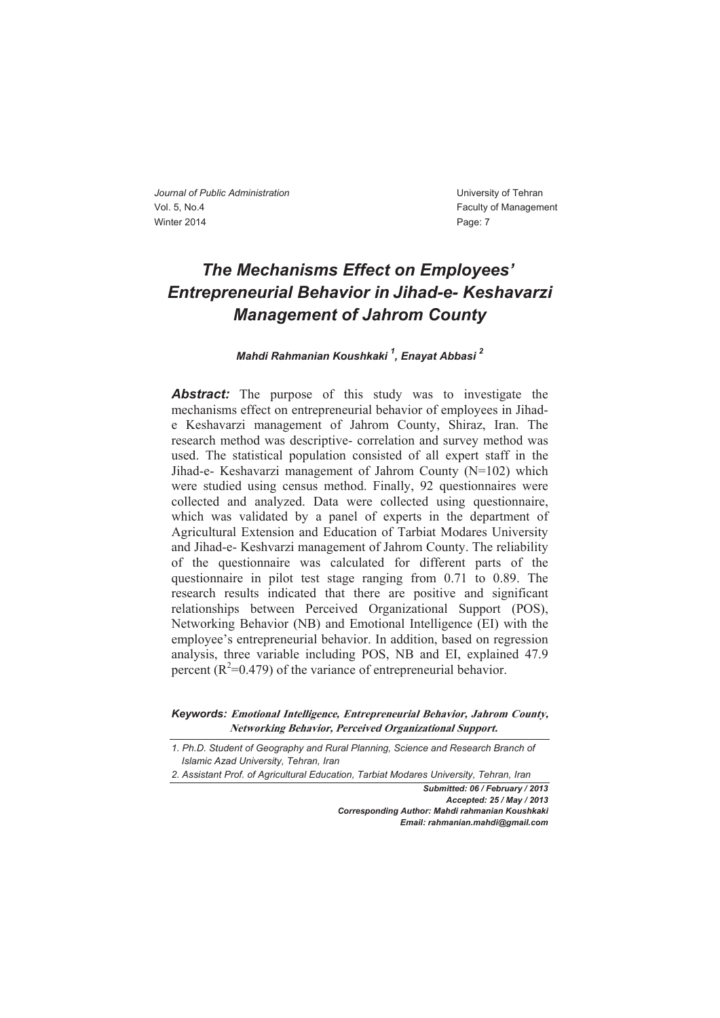# *The Mechanisms Effect on Employees' Entrepreneurial Behavior in Jihad-e- Keshavarzi Management of Jahrom County*

#### *Mahdi Rahmanian Koushkaki 1 , Enayat Abbasi 2*

**Abstract:** The purpose of this study was to investigate the mechanisms effect on entrepreneurial behavior of employees in Jihade Keshavarzi management of Jahrom County, Shiraz, Iran. The research method was descriptive- correlation and survey method was used. The statistical population consisted of all expert staff in the Jihad-e- Keshavarzi management of Jahrom County (N=102) which were studied using census method. Finally, 92 questionnaires were collected and analyzed. Data were collected using questionnaire, which was validated by a panel of experts in the department of Agricultural Extension and Education of Tarbiat Modares University and Jihad-e- Keshvarzi management of Jahrom County. The reliability of the questionnaire was calculated for different parts of the questionnaire in pilot test stage ranging from 0.71 to 0.89. The research results indicated that there are positive and significant relationships between Perceived Organizational Support (POS), Networking Behavior (NB) and Emotional Intelligence (EI) with the employee's entrepreneurial behavior. In addition, based on regression analysis, three variable including POS, NB and EI, explained 47.9 percent ( $R^2$ =0.479) of the variance of entrepreneurial behavior.

*Submitted: 06 / February / 2013 Accepted: 25 / May / 2013 Corresponding Author: Mahdi rahmanian Koushkaki Email: rahmanian.mahdi@gmail.com*

*Keywords:* **Emotional Intelligence, Entrepreneurial Behavior, Jahrom County, Networking Behavior, Perceived Organizational Support.** 

*<sup>1.</sup> Ph.D. Student of Geography and Rural Planning, Science and Research Branch of Islamic Azad University, Tehran, Iran* 

*<sup>2.</sup> Assistant Prof. of Agricultural Education, Tarbiat Modares University, Tehran, Iran*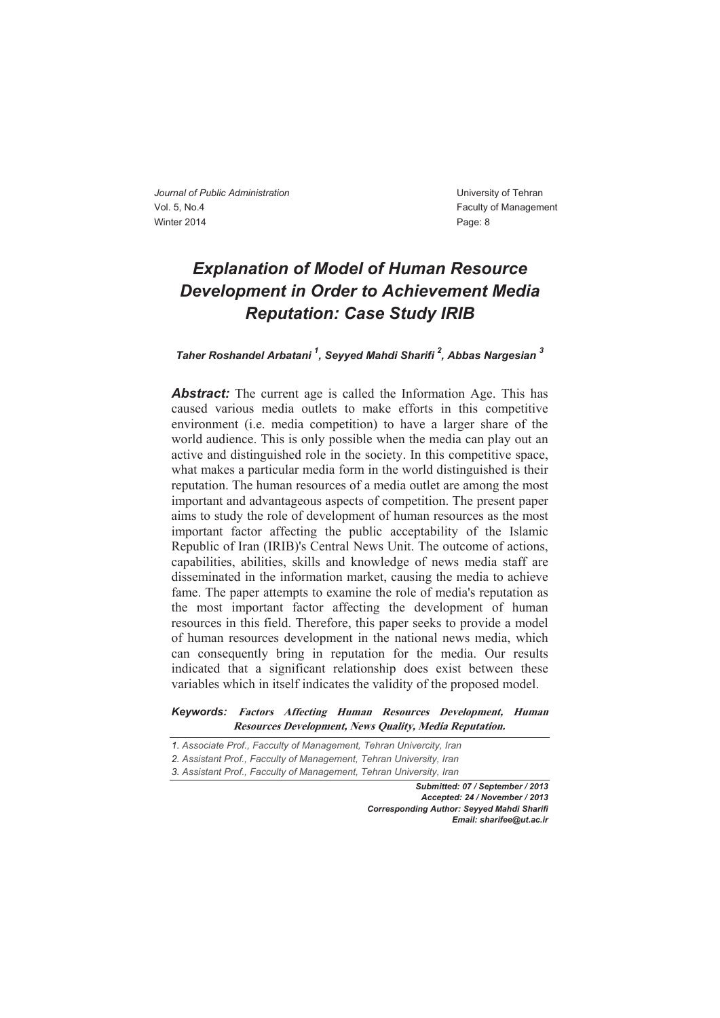# *Explanation of Model of Human Resource Development in Order to Achievement Media Reputation: Case Study IRIB*

### *Taher Roshandel Arbatani 1 , Seyyed Mahdi Sharifi 2 , Abbas Nargesian <sup>3</sup>*

*Abstract:* The current age is called the Information Age. This has caused various media outlets to make efforts in this competitive environment (i.e. media competition) to have a larger share of the world audience. This is only possible when the media can play out an active and distinguished role in the society. In this competitive space, what makes a particular media form in the world distinguished is their reputation. The human resources of a media outlet are among the most important and advantageous aspects of competition. The present paper aims to study the role of development of human resources as the most important factor affecting the public acceptability of the Islamic Republic of Iran (IRIB)'s Central News Unit. The outcome of actions, capabilities, abilities, skills and knowledge of news media staff are disseminated in the information market, causing the media to achieve fame. The paper attempts to examine the role of media's reputation as the most important factor affecting the development of human resources in this field. Therefore, this paper seeks to provide a model of human resources development in the national news media, which can consequently bring in reputation for the media. Our results indicated that a significant relationship does exist between these variables which in itself indicates the validity of the proposed model.

*Keywords:* **Factors Affecting Human Resources Development, Human Resources Development, News Quality, Media Reputation.** 

- *1. Associate Prof., Facculty of Management, Tehran Univercity, Iran*
- *2. Assistant Prof., Facculty of Management, Tehran University, Iran*

*3. Assistant Prof., Facculty of Management, Tehran University, Iran*

*Submitted: 07 / September / 2013 Accepted: 24 / November / 2013 Corresponding Author: Seyyed Mahdi Sharifi Email: sharifee@ut.ac.ir*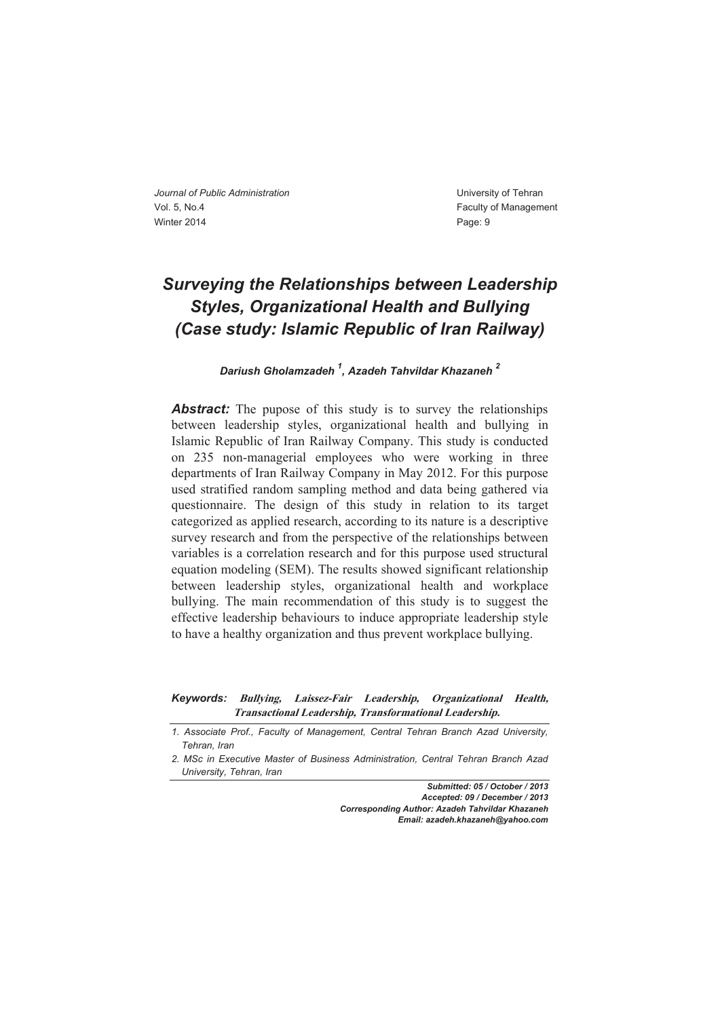# *Surveying the Relationships between Leadership Styles, Organizational Health and Bullying (Case study: Islamic Republic of Iran Railway)*

*Dariush Gholamzadeh 1 , Azadeh Tahvildar Khazaneh 2* 

**Abstract:** The pupose of this study is to survey the relationships between leadership styles, organizational health and bullying in Islamic Republic of Iran Railway Company. This study is conducted on 235 non-managerial employees who were working in three departments of Iran Railway Company in May 2012. For this purpose used stratified random sampling method and data being gathered via questionnaire. The design of this study in relation to its target categorized as applied research, according to its nature is a descriptive survey research and from the perspective of the relationships between variables is a correlation research and for this purpose used structural equation modeling (SEM). The results showed significant relationship between leadership styles, organizational health and workplace bullying. The main recommendation of this study is to suggest the effective leadership behaviours to induce appropriate leadership style to have a healthy organization and thus prevent workplace bullying.

*Keywords:* **Bullying, Laissez-Fair Leadership, Organizational Health, Transactional Leadership, Transformational Leadership.** 

*1. Associate Prof., Faculty of Management, Central Tehran Branch Azad University, Tehran, Iran* 

*Submitted: 05 / October / 2013 Accepted: 09 / December / 2013 Corresponding Author: Azadeh Tahvildar Khazaneh Email: azadeh.khazaneh@yahoo.com*

*<sup>2.</sup> MSc in Executive Master of Business Administration, Central Tehran Branch Azad University, Tehran, Iran*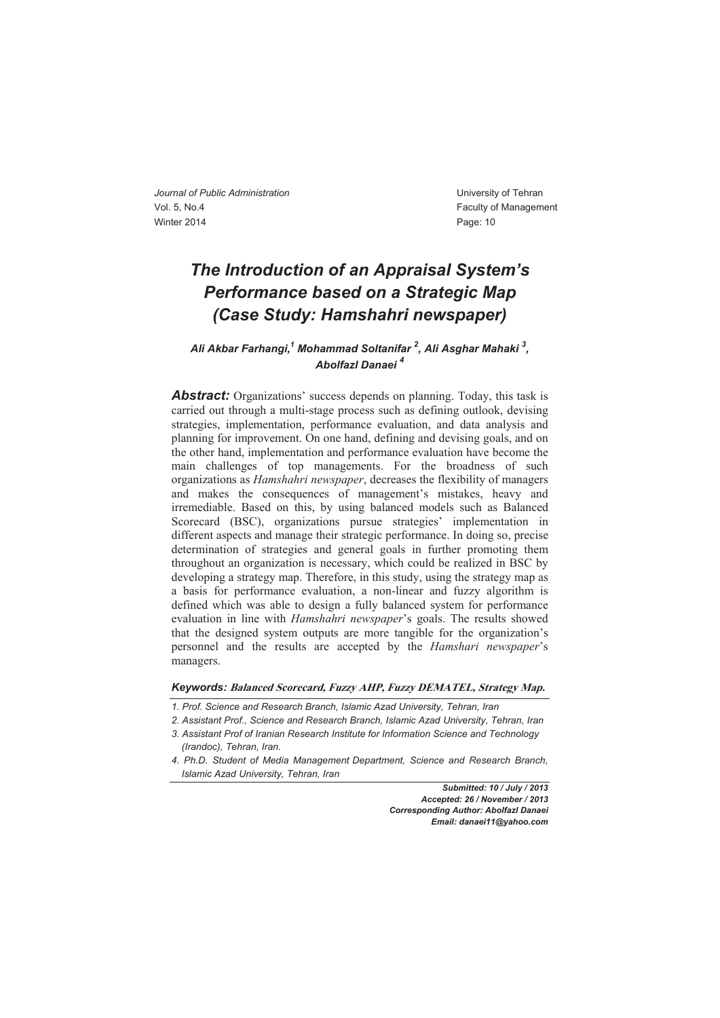### *The Introduction of an Appraisal System's Performance based on a Strategic Map (Case Study: Hamshahri newspaper)*

### *Ali Akbar Farhangi,1 Mohammad Soltanifar 2 , Ali Asghar Mahaki 3 , Abolfazl Danaei <sup>4</sup>*

*Abstract:* Organizations' success depends on planning. Today, this task is carried out through a multi-stage process such as defining outlook, devising strategies, implementation, performance evaluation, and data analysis and planning for improvement. On one hand, defining and devising goals, and on the other hand, implementation and performance evaluation have become the main challenges of top managements. For the broadness of such organizations as *Hamshahri newspaper*, decreases the flexibility of managers and makes the consequences of management's mistakes, heavy and irremediable. Based on this, by using balanced models such as Balanced Scorecard (BSC), organizations pursue strategies' implementation in different aspects and manage their strategic performance. In doing so, precise determination of strategies and general goals in further promoting them throughout an organization is necessary, which could be realized in BSC by developing a strategy map. Therefore, in this study, using the strategy map as a basis for performance evaluation, a non-linear and fuzzy algorithm is defined which was able to design a fully balanced system for performance evaluation in line with *Hamshahri newspaper*'s goals. The results showed that the designed system outputs are more tangible for the organization's personnel and the results are accepted by the *Hamshari newspaper*'s managers.

#### *Keywords:* **Balanced Scorecard, Fuzzy AHP, Fuzzy DEMATEL, Strategy Map.**

- *1. Prof. Science and Research Branch, Islamic Azad University, Tehran, Iran*
- *2. Assistant Prof., Science and Research Branch, Islamic Azad University, Tehran, Iran*
- *3. Assistant Prof of Iranian Research Institute for Information Science and Technology*
- *(Irandoc), Tehran, Iran.*
- *4. Ph.D. Student of Media Management Department, Science and Research Branch, Islamic Azad University, Tehran, Iran*

*Submitted: 10 / July / 2013 Accepted: 26 / November / 2013 Corresponding Author: Abolfazl Danaei Email: danaei11@yahoo.com*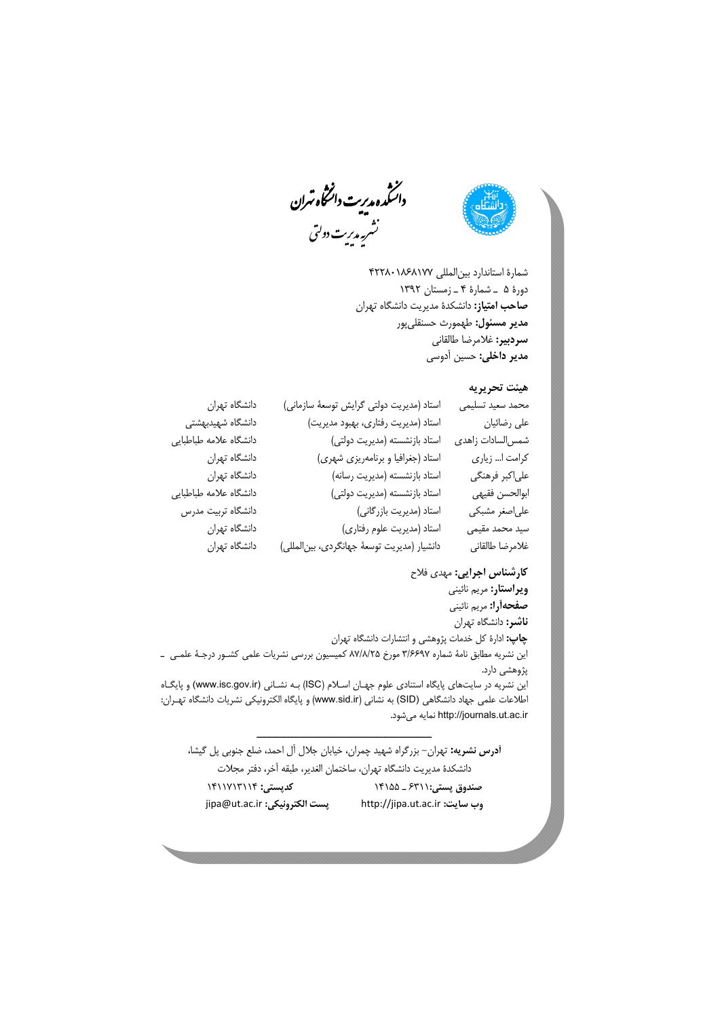

.<br>نشر په مدیریت دولتی داسکمدہ مدیریت دائشگاہ *ت*ران

شمارة استاندارد بينالمللي 422801868177 دورة 5 ـ شمارة 4 ـ زمستان 1392 **صاحب امتياز:** دانشكدة مديريت دانشگاه تهران **مدير مسئول:** طهمورث حسنقليپور **سردبير:** غلامرضا طالقاني **مدير داخلي:** حسين آدوسي

#### **هيئت تحريريه**

| محمد سعيد تسليمي | استاد (مدیریت دولتی گرایش توسعهٔ سازمانی)   | دانشگاه تهران          |
|------------------|---------------------------------------------|------------------------|
| على رضائيان      | استاد (مديريت رفتارى، بهبود مديريت)         | دانشگاه شهیدبهشتی      |
| شمس لسادات زاهدى | استاد بازنشسته (مديريت دولتى)               | دانشگاه علامه طباطبايي |
| كرامت ا زياري    | استاد (جغرافیا و برنامهریزی شهری)           | دانشگاه تهران          |
| على كبر فرهنگي   | استاد بازنشسته (مديريت رسانه)               | دانشگاه تهران          |
| ابوالحسن فقيهى   | استاد بازنشسته (مديريت دولتى)               | دانشگاه علامه طباطبايي |
| علىاصغر مشبكي    | استاد (مديريت بازرگاني)                     | دانشگاه تربیت مدرس     |
| سید محمد مقیمی   | استاد (مديريت علوم رفتاري)                  | دانشگاه تهران          |
| غلامرضا طالقاني  | دانشیار (مدیریت توسعهٔ جهانگردی، بین لمللی) | دانشگاه تهران          |
|                  |                                             |                        |

**كارشناس اجرايي:** مهدي فلاح **ويراستار:** مريم نائيني **صفحهآرا:** مريم نائيني **ناشر:** دانشگاه تهران **چاپ:** ادارة كل خدمات پژوهشي و انتشارات دانشگاه تهران اين نشريه مطابق نامة شماره 3/6697 مورخ 87/8/25 كميسيون بررسي نشريات علمي كشـور درجـة علمـي ـ پژوهشي دارد. اين نشريه در سايتهاي پايگاه استنادي علوم جهـان اسـلام (ISC) بـه نشـاني (www.isc.gov.ir) و پايگـاه اطلاعات علمي جهاد دانشگاهي (SID) به نشاني (www.sid.ir) و پايگاه الكترونيكي نشريات دانشگاه تهـران: http://journals.ut.ac.ir نمايه مي شود. ـــــــــــــــــــــــــــــــــــــــــــــ

**آدرس نشريه:** تهران- بزرگراه شهيد چمران، خيابان جلال آل احمد، ضلع جنوبي پل گيشا، دانشكدة مديريت دانشگاه تهران، ساختمان الغدير، طبقه آخر، دفتر مجلات **صندوق پستي**6311**:** ـ 14155 **كدپستي:** 1411713114 jipa@ut.ac.ir **:الكترونيكي پست** http://jipa.ut.ac.ir **:سايت وب**